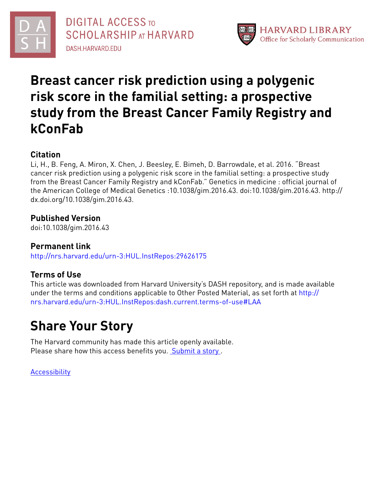



# **Breast cancer risk prediction using a polygenic risk score in the familial setting: a prospective study from the Breast Cancer Family Registry and kConFab**

# **Citation**

Li, H., B. Feng, A. Miron, X. Chen, J. Beesley, E. Bimeh, D. Barrowdale, et al. 2016. "Breast cancer risk prediction using a polygenic risk score in the familial setting: a prospective study from the Breast Cancer Family Registry and kConFab." Genetics in medicine : official journal of the American College of Medical Genetics :10.1038/gim.2016.43. doi:10.1038/gim.2016.43. http:// dx.doi.org/10.1038/gim.2016.43.

# **Published Version**

doi:10.1038/gim.2016.43

# **Permanent link**

<http://nrs.harvard.edu/urn-3:HUL.InstRepos:29626175>

# **Terms of Use**

This article was downloaded from Harvard University's DASH repository, and is made available under the terms and conditions applicable to Other Posted Material, as set forth at [http://](http://nrs.harvard.edu/urn-3:HUL.InstRepos:dash.current.terms-of-use#LAA) [nrs.harvard.edu/urn-3:HUL.InstRepos:dash.current.terms-of-use#LAA](http://nrs.harvard.edu/urn-3:HUL.InstRepos:dash.current.terms-of-use#LAA)

# **Share Your Story**

The Harvard community has made this article openly available. Please share how this access benefits you. [Submit](http://osc.hul.harvard.edu/dash/open-access-feedback?handle=&title=Breast%20cancer%20risk%20prediction%20using%20a%20polygenic%20risk%20score%20in%20the%20familial%20setting:%20a%20prospective%20study%20from%20the%20Breast%20Cancer%20Family%20Registry%20and%20kConFab&community=1/4454687&collection=1/4454688&owningCollection1/4454688&harvardAuthors=e885fa89d00ea999f5824941de0cf02d&department) a story.

**[Accessibility](https://dash.harvard.edu/pages/accessibility)**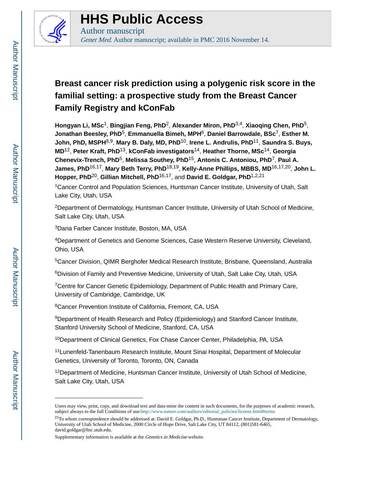

# **HHS Public Access**

Author manuscript

Genet Med. Author manuscript; available in PMC 2016 November 14.

# **Breast cancer risk prediction using a polygenic risk score in the familial setting: a prospective study from the Breast Cancer Family Registry and kConFab**

**Hongyan Li, MSc**1, **Bingjian Feng, PhD**2, **Alexander Miron, PhD**3,4, **Xiaoqing Chen, PhD**5, **Jonathan Beesley, PhD**5, **Emmanuella Bimeh, MPH**6, **Daniel Barrowdale, BSc**7, **Esther M. John, PhD, MSPH**8,9, **Mary B. Daly, MD, PhD**10, **Irene L. Andrulis, PhD**11, **Saundra S. Buys, MD**12, **Peter Kraft, PhD**13, **kConFab investigators**14, **Heather Thorne, MSc**14, **Georgia Chenevix-Trench, PhD**5, **Melissa Southey, PhD**15, **Antonis C. Antoniou, PhD**7, **Paul A. James, PhD**16,17, **Mary Beth Terry, PhD**18,19, **Kelly-Anne Phillips, MBBS, MD**16,17,20, **John L. Hopper, PhD**20, **Gillian Mitchell, PhD**16,17, and **David E. Goldgar, PhD**1,2,21

<sup>1</sup>Cancer Control and Population Sciences, Huntsman Cancer Institute, University of Utah, Salt Lake City, Utah, USA

<sup>2</sup>Department of Dermatology, Huntsman Cancer Institute, University of Utah School of Medicine, Salt Lake City, Utah, USA

<sup>3</sup>Dana Farber Cancer Institute, Boston, MA, USA

<sup>4</sup>Department of Genetics and Genome Sciences, Case Western Reserve University, Cleveland, Ohio, USA

<sup>5</sup>Cancer Division, QIMR Berghofer Medical Research Institute, Brisbane, Queensland, Australia

<sup>6</sup>Division of Family and Preventive Medicine, University of Utah, Salt Lake City, Utah, USA

<sup>7</sup>Centre for Cancer Genetic Epidemiology, Department of Public Health and Primary Care, University of Cambridge, Cambridge, UK

<sup>8</sup>Cancer Prevention Institute of California, Fremont, CA, USA

<sup>9</sup>Department of Health Research and Policy (Epidemiology) and Stanford Cancer Institute, Stanford University School of Medicine, Stanford, CA, USA

<sup>10</sup>Department of Clinical Genetics, Fox Chase Cancer Center, Philadelphia, PA, USA

<sup>11</sup>Lunenfeld-Tanenbaum Research Institute, Mount Sinai Hospital, Department of Molecular Genetics, University of Toronto, Toronto, ON, Canada

<sup>12</sup>Department of Medicine, Huntsman Cancer Institute, University of Utah School of Medicine, Salt Lake City, Utah, USA

Users may view, print, copy, and download text and data-mine the content in such documents, for the purposes of academic research, subject always to the full Conditions of use:[http://www.nature.com/authors/editorial\\_policies/license.html#terms](http://www.nature.com/authors/editorial_policies/license.html#terms)

<sup>21</sup>To whom correspondence should be addressed at: David E. Goldgar, Ph.D., Huntsman Cancer Institute, Department of Dermatology, University of Utah School of Medicine, 2000 Circle of Hope Drive, Salt Lake City, UT 84112, (801)581-6465, david.goldgar@hsc.utah.edu.

Supplementary information is available at the Genetics in Medicine website.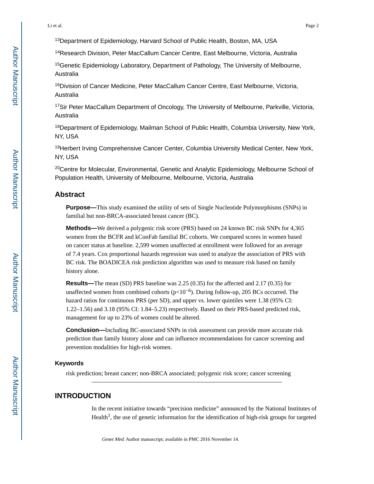<sup>13</sup>Department of Epidemiology, Harvard School of Public Health, Boston, MA, USA

<sup>14</sup>Research Division, Peter MacCallum Cancer Centre, East Melbourne, Victoria, Australia

<sup>15</sup>Genetic Epidemiology Laboratory, Department of Pathology, The University of Melbourne, Australia

<sup>16</sup>Division of Cancer Medicine, Peter MacCallum Cancer Centre, East Melbourne, Victoria, Australia

<sup>17</sup>Sir Peter MacCallum Department of Oncology, The University of Melbourne, Parkville, Victoria, Australia

<sup>18</sup>Department of Epidemiology, Mailman School of Public Health, Columbia University, New York, NY, USA

<sup>19</sup>Herbert Irving Comprehensive Cancer Center, Columbia University Medical Center, New York, NY, USA

<sup>20</sup>Centre for Molecular, Environmental, Genetic and Analytic Epidemiology, Melbourne School of Population Health, University of Melbourne, Melbourne, Victoria, Australia

### **Abstract**

**Purpose—**This study examined the utility of sets of Single Nucleotide Polymorphisms (SNPs) in familial but non-BRCA-associated breast cancer (BC).

**Methods—**We derived a polygenic risk score (PRS) based on 24 known BC risk SNPs for 4,365 women from the BCFR and kConFab familial BC cohorts. We compared scores in women based on cancer status at baseline. 2,599 women unaffected at enrollment were followed for an average of 7.4 years. Cox proportional hazards regression was used to analyze the association of PRS with BC risk. The BOADICEA risk prediction algorithm was used to measure risk based on family history alone.

**Results—**The mean (SD) PRS baseline was 2.25 (0.35) for the affected and 2.17 (0.35) for unaffected women from combined cohorts ( $p$ <10<sup>-6</sup>). During follow-up, 205 BCs occurred. The hazard ratios for continuous PRS (per SD), and upper vs. lower quintiles were 1.38 (95% CI: 1.22–1.56) and 3.18 (95% CI: 1.84–5.23) respectively. Based on their PRS-based predicted risk, management for up to 23% of women could be altered.

**Conclusion—**Including BC-associated SNPs in risk assessment can provide more accurate risk prediction than family history alone and can influence recommendations for cancer screening and prevention modalities for high-risk women.

### **Keywords**

risk prediction; breast cancer; non-BRCA associated; polygenic risk score; cancer screening

## **INTRODUCTION**

In the recent initiative towards "precision medicine" announced by the National Institutes of Health<sup>1</sup>, the use of genetic information for the identification of high-risk groups for targeted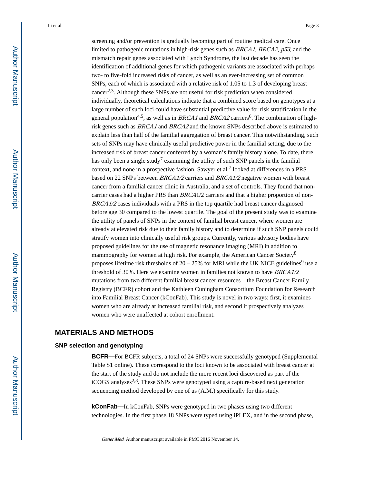screening and/or prevention is gradually becoming part of routine medical care. Once limited to pathogenic mutations in high-risk genes such as BRCA1, BRCA2, p53, and the mismatch repair genes associated with Lynch Syndrome, the last decade has seen the identification of additional genes for which pathogenic variants are associated with perhaps two- to five-fold increased risks of cancer, as well as an ever-increasing set of common SNPs, each of which is associated with a relative risk of 1.05 to 1.3 of developing breast cancer<sup>2,3</sup>. Although these SNPs are not useful for risk prediction when considered individually, theoretical calculations indicate that a combined score based on genotypes at a large number of such loci could have substantial predictive value for risk stratification in the general population<sup>4,5</sup>, as well as in *BRCA1* and *BRCA2* carriers<sup>6</sup>. The combination of highrisk genes such as BRCA1 and BRCA2 and the known SNPs described above is estimated to explain less than half of the familial aggregation of breast cancer. This notwithstanding, such sets of SNPs may have clinically useful predictive power in the familial setting, due to the increased risk of breast cancer conferred by a woman's family history alone. To date, there has only been a single study<sup>7</sup> examining the utility of such SNP panels in the familial context, and none in a prospective fashion. Sawyer et al.<sup>7</sup> looked at differences in a PRS based on 22 SNPs between BRCA1/2 carriers and BRCA1/2 negative women with breast cancer from a familial cancer clinic in Australia, and a set of controls. They found that noncarrier cases had a higher PRS than BRCA1/2 carriers and that a higher proportion of non- $BRCA1/2$  cases individuals with a PRS in the top quartile had breast cancer diagnosed before age 30 compared to the lowest quartile. The goal of the present study was to examine the utility of panels of SNPs in the context of familial breast cancer, where women are already at elevated risk due to their family history and to determine if such SNP panels could stratify women into clinically useful risk groups. Currently, various advisory bodies have proposed guidelines for the use of magnetic resonance imaging (MRI) in addition to mammography for women at high risk. For example, the American Cancer Society<sup>8</sup> proposes lifetime risk thresholds of  $20 - 25%$  for MRI while the UK NICE guidelines<sup>9</sup> use a threshold of 30%. Here we examine women in families not known to have BRCA1/2 mutations from two different familial breast cancer resources – the Breast Cancer Family Registry (BCFR) cohort and the Kathleen Cuningham Consortium Foundation for Research into Familial Breast Cancer (kConFab). This study is novel in two ways: first, it examines women who are already at increased familial risk, and second it prospectively analyzes women who were unaffected at cohort enrollment.

# **MATERIALS AND METHODS**

#### **SNP selection and genotyping**

**BCFR—**For BCFR subjects, a total of 24 SNPs were successfully genotyped (Supplemental Table S1 online). These correspond to the loci known to be associated with breast cancer at the start of the study and do not include the more recent loci discovered as part of the iCOGS analyses<sup>2,3</sup>. These SNPs were genotyped using a capture-based next generation sequencing method developed by one of us (A.M.) specifically for this study.

**kConFab—**In kConFab, SNPs were genotyped in two phases using two different technologies. In the first phase,18 SNPs were typed using iPLEX, and in the second phase,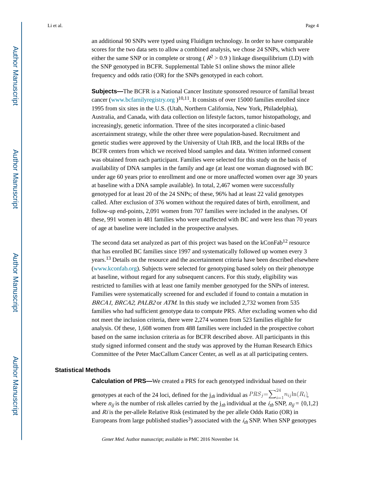an additional 90 SNPs were typed using Fluidigm technology. In order to have comparable scores for the two data sets to allow a combined analysis, we chose 24 SNPs, which were either the same SNP or in complete or strong ( $R^2 > 0.9$ ) linkage disequilibrium (LD) with the SNP genotyped in BCFR. Supplemental Table S1 online shows the minor allele frequency and odds ratio (OR) for the SNPs genotyped in each cohort.

**Subjects—The BCFR** is a National Cancer Institute sponsored resource of familial breast cancer (www.bcfamilyregistry.org  $)^{10,11}$ . It consists of over 15000 families enrolled since 1995 from six sites in the U.S. (Utah, Northern California, New York, Philadelphia), Australia, and Canada, with data collection on lifestyle factors, tumor histopathology, and increasingly, genetic information. Three of the sites incorporated a clinic-based ascertainment strategy, while the other three were population-based. Recruitment and genetic studies were approved by the University of Utah IRB, and the local IRBs of the BCFR centers from which we received blood samples and data. Written informed consent was obtained from each participant. Families were selected for this study on the basis of availability of DNA samples in the family and age (at least one woman diagnosed with BC under age 60 years prior to enrollment and one or more unaffected women over age 30 years at baseline with a DNA sample available). In total, 2,467 women were successfully genotyped for at least 20 of the 24 SNPs; of these, 96% had at least 22 valid genotypes called. After exclusion of 376 women without the required dates of birth, enrollment, and follow-up end-points, 2,091 women from 707 families were included in the analyses. Of these, 991 women in 481 families who were unaffected with BC and were less than 70 years of age at baseline were included in the prospective analyses.

The second data set analyzed as part of this project was based on the kConFab<sup>12</sup> resource that has enrolled BC families since 1997 and systematically followed up women every 3 years.13 Details on the resource and the ascertainment criteria have been described elsewhere (www.kconfab.org). Subjects were selected for genotyping based solely on their phenotype at baseline, without regard for any subsequent cancers. For this study, eligibility was restricted to families with at least one family member genotyped for the SNPs of interest. Families were systematically screened for and excluded if found to contain a mutation in BRCA1, BRCA2, PALB2 or ATM. In this study we included 2,732 women from 535 families who had sufficient genotype data to compute PRS. After excluding women who did not meet the inclusion criteria, there were 2,274 women from 523 families eligible for analysis. Of these, 1,608 women from 488 families were included in the prospective cohort based on the same inclusion criteria as for BCFR described above. All participants in this study signed informed consent and the study was approved by the Human Research Ethics Committee of the Peter MacCallum Cancer Center, as well as at all participating centers.

#### **Statistical Methods**

**Calculation of PRS—**We created a PRS for each genotyped individual based on their

genotypes at each of the 24 loci, defined for the  $j_{th}$  individual as  $PRS_j = \sum_{i=1}^{24} n_{ij} \ln(R_i)$ , where  $n_{ij}$  is the number of risk alleles carried by the  $j_{th}$  individual at the  $i_{th}$  SNP,  $n_{ij}$  = {0,1,2} and  $Ri$  is the per-allele Relative Risk (estimated by the per allele Odds Ratio (OR) in Europeans from large published studies<sup>3</sup>) associated with the  $i_{th}$  SNP. When SNP genotypes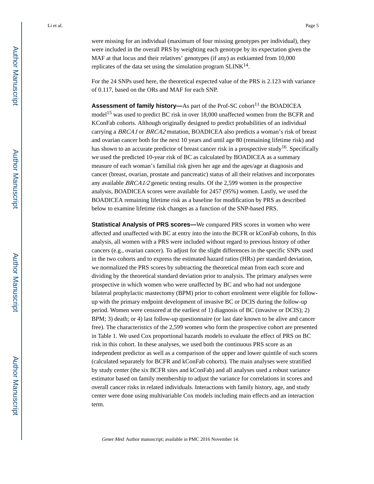were missing for an individual (maximum of four missing genotypes per individual), they were included in the overall PRS by weighting each genotype by its expectation given the MAF at that locus and their relatives' genotypes (if any) as estkiamted from 10,000 replicates of the data set using the simulation program  $SLINK^{14}$ .

For the 24 SNPs used here, the theoretical expected value of the PRS is 2.123 with variance of 0.117, based on the ORs and MAF for each SNP.

Assessment of family history-As part of the Prof-SC cohort<sup>11</sup> the BOADICEA model<sup>15</sup> was used to predict BC risk in over 18,000 unaffected women from the BCFR and KConFab cohorts. Although originally designed to predict probabilities of an individual carrying a BRCA1 or BRCA2 mutation, BOADICEA also predicts a woman's risk of breast and ovarian cancer both for the next 10 years and until age 80 (remaining lifetime risk) and has shown to an accurate predictor of breast cancer risk in a prospective study<sup>16</sup>. Specifically we used the predicted 10-year risk of BC as calculated by BOADICEA as a summary measure of each woman's familial risk given her age and the ages/age at diagnosis and cancer (breast, ovarian, prostate and pancreatic) status of all their relatives and incorporates any available BRCA1/2 genetic testing results. Of the 2,599 women in the prospective analysis, BOADICEA scores were available for 2457 (95%) women. Lastly, we used the BOADICEA remaining lifetime risk as a baseline for modification by PRS as described below to examine lifetime risk changes as a function of the SNP-based PRS.

**Statistical Analysis of PRS scores—**We compared PRS scores in women who were affected and unaffected with BC at entry into the into the BCFR or kConFab cohorts, In this analysis, all women with a PRS were included without regard to previous history of other cancers (e.g., ovarian cancer). To adjust for the slight differences in the specific SNPs used in the two cohorts and to express the estimated hazard ratios (HRs) per standard deviation, we normalized the PRS scores by subtracting the theoretical mean from each score and dividing by the theoretical standard deviation prior to analysis. The primary analyses were prospective in which women who were unaffected by BC and who had not undergone bilateral prophylactic mastectomy (BPM) prior to cohort enrolment were eligible for followup with the primary endpoint development of invasive BC or DCIS during the follow-up period. Women were censored at the earliest of 1) diagnosis of BC (invasive or DCIS); 2) BPM; 3) death; or 4) last follow-up questionnaire (or last date known to be alive and cancer free). The characteristics of the 2,599 women who form the prospective cohort are presented in Table 1. We used Cox proportional hazards models to evaluate the effect of PRS on BC risk in this cohort. In these analyses, we used both the continuous PRS score as an independent predictor as well as a comparison of the upper and lower quintile of such scores (calculated separately for BCFR and kConFab cohorts). The main analyses were stratified by study center (the six BCFR sites and kConFab) and all analyses used a robust variance estimator based on family membership to adjust the variance for correlations in scores and overall cancer risks in related individuals. Interactions with family history, age, and study center were done using multivariable Cox models including main effects and an interaction term.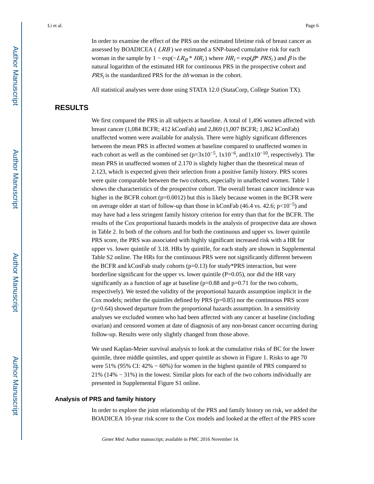In order to examine the effect of the PRS on the estimated lifetime risk of breast cancer as assessed by BOADICEA (*LRB*) we estimated a SNP-based cumulative risk for each woman in the sample by  $1 - \exp(-LR_B * HR_i)$  where  $HR_i = \exp(\beta^* PRS_i)$  and  $\beta$  is the natural logarithm of the estimated HR for continuous PRS in the prospective cohort and  $PRS_i$  is the standardized PRS for the *ith* woman in the cohort.

All statistical analyses were done using STATA 12.0 (StataCorp, College Station TX).

# **RESULTS**

We first compared the PRS in all subjects at baseline. A total of 1,496 women affected with breast cancer (1,084 BCFR; 412 kConFab) and 2,869 (1,007 BCFR; 1,862 kConFab) unaffected women were available for analysis. There were highly significant differences between the mean PRS in affected women at baseline compared to unaffected women in each cohort as well as the combined set ( $p=3x10^{-5}$ ,  $1x10^{-6}$ , and $1x10^{-10}$ , respectively). The mean PRS in unaffected women of 2.170 is slightly higher than the theoretical mean of 2.123, which is expected given their selection from a positive family history. PRS scores were quite comparable between the two cohorts, especially in unaffected women. Table 1 shows the characteristics of the prospective cohort. The overall breast cancer incidence was higher in the BCFR cohort (p=0.0012) but this is likely because women in the BCFR were on average older at start of follow-up than those in kConFab (46.4 vs. 42.6; p<10<sup>-5</sup>) and may have had a less stringent family history criterion for entry than that for the BCFR. The results of the Cox proportional hazards models in the analysis of prospective data are shown in Table 2. In both of the cohorts and for both the continuous and upper vs. lower quintile PRS score, the PRS was associated with highly significant increased risk with a HR for upper vs. lower quintile of 3.18. HRs by quintile, for each study are shown in Supplemental Table S2 online. The HRs for the continuous PRS were not significantly different between the BCFR and kConFab study cohorts (p=0.13) for study\*PRS interaction, but were borderline significant for the upper vs. lower quintile  $(P=0.05)$ , nor did the HR vary significantly as a function of age at baseline  $(p=0.88$  and  $p=0.71$  for the two cohorts, respectively). We tested the validity of the proportional hazards assumption implicit in the Cox models; neither the quintiles defined by PRS  $(p=0.85)$  nor the continuous PRS score  $(p=0.64)$  showed departure from the proportional hazards assumption. In a sensitivity analyses we excluded women who had been affected with any cancer at baseline (including ovarian) and censored women at date of diagnosis of any non-breast cancer occurring during follow-up. Results were only slightly changed from those above.

We used Kaplan-Meier survival analysis to look at the cumulative risks of BC for the lower quintile, three middle quintiles, and upper quintile as shown in Figure 1. Risks to age 70 were 51% (95% CI:  $42\% - 60\%$ ) for women in the highest quintile of PRS compared to 21% (14% − 31%) in the lowest. Similar plots for each of the two cohorts individually are presented in Supplemental Figure S1 online.

#### **Analysis of PRS and family history**

In order to explore the joint relationship of the PRS and family history on risk, we added the BOADICEA 10-year risk score to the Cox models and looked at the effect of the PRS score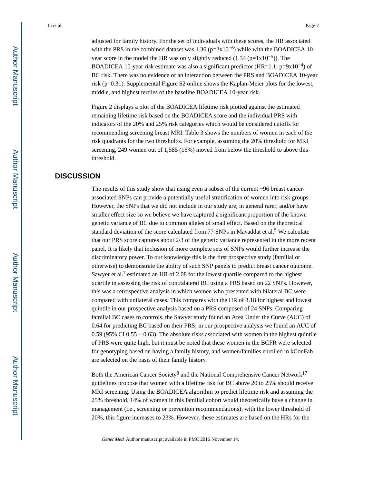adjusted for family history. For the set of individuals with these scores, the HR associated with the PRS in the combined dataset was 1.36 ( $p=2x10^{-6}$ ) while with the BOADICEA 10year score in the model the HR was only slightly reduced  $(1.34 \text{ (p=1x10<sup>-5</sup>)})$ . The BOADICEA 10-year risk estimate was also a significant predictor (HR=1.1; p=9x10<sup>-4</sup>) of BC risk. There was no evidence of an interaction between the PRS and BOADICEA 10-year risk (p=0.31). Supplemental Figure S2 online shows the Kaplan-Meier plots for the lowest, middle, and highest tertiles of the baseline BOADICEA 10-year risk.

Figure 2 displays a plot of the BOADICEA lifetime risk plotted against the estimated remaining lifetime risk based on the BOADICEA score and the individual PRS with indicators of the 20% and 25% risk categories which would be considered cutoffs for recommending screening breast MRI. Table 3 shows the numbers of women in each of the risk quadrants for the two thresholds. For example, assuming the 20% threshold for MRI screening, 249 women out of 1,585 (16%) moved from below the threshold to above this threshold.

## **DISCUSSION**

The results of this study show that using even a subset of the current  $\sim$ 96 breast cancerassociated SNPs can provide a potentially useful stratification of women into risk groups. However, the SNPs that we did not include in our study are, in general rarer, and/or have smaller effect size so we believe we have captured a significant proportion of the known genetic variance of BC due to common alleles of small effect. Based on the theoretical standard deviation of the score calculated from  $77$  SNPs in Mavaddat et al.<sup>5</sup> We calculate that our PRS score captures about 2/3 of the genetic variance represented in the more recent panel. It is likely that inclusion of more complete sets of SNPs would further increase the discriminatory power. To our knowledge this is the first prospective study (familial or otherwise) to demonstrate the ability of such SNP panels to predict breast cancer outcome. Sawyer et al.<sup>7</sup> estimated an HR of 2.08 for the lowest quartile compared to the highest quartile in assessing the risk of contralateral BC using a PRS based on 22 SNPs. However, this was a retrospective analysis in which women who presented with bilateral BC were compared with unilateral cases. This compares with the HR of 3.18 for highest and lowest quintile in our prospective analysis based on a PRS composed of 24 SNPs. Comparing familial BC cases to controls, the Sawyer study found an Area Under the Curve (AUC) of 0.64 for predicting BC based on their PRS; in our prospective analysis we found an AUC of 0.59 (95% CI 0.55 − 0.63). The absolute risks associated with women in the highest quintile of PRS were quite high, but it must be noted that these women in the BCFR were selected for genotyping based on having a family history, and women/families enrolled in kConFab are selected on the basis of their family history.

Both the American Cancer Society<sup>8</sup> and the National Comprehensive Cancer Network<sup>17</sup> guidelines propose that women with a lifetime risk for BC above 20 to 25% should receive MRI screening. Using the BOADICEA algorithm to predict lifetime risk and assuming the 25% threshold, 14% of women in this familial cohort would theoretically have a change in management (i.e., screening or prevention recommendations); with the lower threshold of 20%, this figure increases to 23%. However, these estimates are based on the HRs for the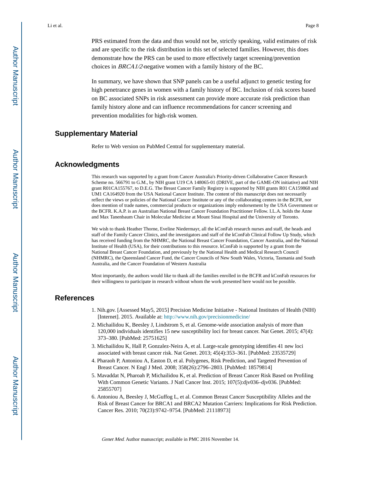PRS estimated from the data and thus would not be, strictly speaking, valid estimates of risk and are specific to the risk distribution in this set of selected families. However, this does demonstrate how the PRS can be used to more effectively target screening/prevention choices in BRCA1/2-negative women with a family history of the BC.

In summary, we have shown that SNP panels can be a useful adjunct to genetic testing for high penetrance genes in women with a family history of BC. Inclusion of risk scores based on BC associated SNPs in risk assessment can provide more accurate risk prediction than family history alone and can influence recommendations for cancer screening and prevention modalities for high-risk women.

## **Supplementary Material**

Refer to Web version on PubMed Central for supplementary material.

## **Acknowledgments**

This research was supported by a grant from Cancer Australia's Priority-driven Collaborative Cancer Research Scheme no. 566791 to G.M., by NIH grant U19 CA 148065-01 (DRIVE, part of the GAME-ON initiative) and NIH grant R01CA155767, to D.E.G. The Breast Cancer Family Registry is supported by NIH grants R01 CA159868 and UM1 CA164920 from the USA National Cancer Institute. The content of this manuscript does not necessarily reflect the views or policies of the National Cancer Institute or any of the collaborating centers in the BCFR, nor does mention of trade names, commercial products or organizations imply endorsement by the USA Government or the BCFR. K.A.P. is an Australian National Breast Cancer Foundation Practitioner Fellow. I.L.A. holds the Anne and Max Tanenbaum Chair in Molecular Medicine at Mount Sinai Hospital and the University of Toronto.

We wish to thank Heather Thorne, Eveline Niedermayr, all the kConFab research nurses and staff, the heads and staff of the Family Cancer Clinics, and the investigators and staff of the kConFab Clinical Follow Up Study, which has received funding from the NHMRC, the National Breast Cancer Foundation, Cancer Australia, and the National Institute of Health (USA), for their contributions to this resource. kConFab is supported by a grant from the National Breast Cancer Foundation, and previously by the National Health and Medical Research Council (NHMRC), the Queensland Cancer Fund, the Cancer Councils of New South Wales, Victoria, Tasmania and South Australia, and the Cancer Foundation of Western Australia

Most importantly, the authors would like to thank all the families enrolled in the BCFR and kConFab resources for their willingness to participate in research without whom the work presented here would not be possible.

#### **References**

- 1. Nih.gov. [Assessed May5, 2015] Precision Medicine Initiative National Institutes of Health (NIH) [Internet]. 2015. Available at: <http://www.nih.gov/precisionmedicine/>
- 2. Michailidou K, Beesley J, Lindstrom S, et al. Genome-wide association analysis of more than 120,000 individuals identifies 15 new susceptibility loci for breast cancer. Nat Genet. 2015; 47(4): 373–380. [PubMed: 25751625]
- 3. Michailidou K, Hall P, Gonzalez-Neira A, et al. Large-scale genotyping identifies 41 new loci associated with breast cancer risk. Nat Genet. 2013; 45(4):353–361. [PubMed: 23535729]
- 4. Pharaoh P, Antoniou A, Easton D, et al. Polygenes, Risk Prediction, and Targeted Prevention of Breast Cancer. N Engl J Med. 2008; 358(26):2796–2803. [PubMed: 18579814]
- 5. Mavaddat N, Pharoah P, Michailidou K, et al. Prediction of Breast Cancer Risk Based on Profiling With Common Genetic Variants. J Natl Cancer Inst. 2015; 107(5):djv036–djv036. [PubMed: 25855707]
- 6. Antoniou A, Beesley J, McGuffog L, et al. Common Breast Cancer Susceptibility Alleles and the Risk of Breast Cancer for BRCA1 and BRCA2 Mutation Carriers: Implications for Risk Prediction. Cancer Res. 2010; 70(23):9742–9754. [PubMed: 21118973]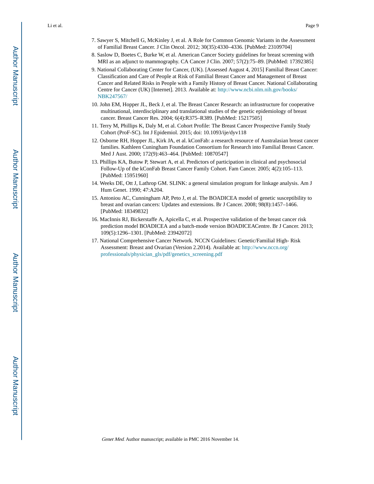- 7. Sawyer S, Mitchell G, McKinley J, et al. A Role for Common Genomic Variants in the Assessment of Familial Breast Cancer. J Clin Oncol. 2012; 30(35):4330–4336. [PubMed: 23109704]
- 8. Saslow D, Boetes C, Burke W, et al. American Cancer Society guidelines for breast screening with MRI as an adjunct to mammography. CA Cancer J Clin. 2007; 57(2):75–89. [PubMed: 17392385]
- 9. National Collaborating Center for Cancer, (UK). [Assessed August 4, 2015] Familial Breast Cancer: Classification and Care of People at Risk of Familial Breast Cancer and Management of Breast Cancer and Related Risks in People with a Family History of Breast Cancer. National Collaborating Centre for Cancer (UK) [Internet]. 2013. Available at: [http://www.ncbi.nlm.nih.gov/books/](http://www.ncbi.nlm.nih.gov/books/NBK247567/) [NBK247567/](http://www.ncbi.nlm.nih.gov/books/NBK247567/)
- 10. John EM, Hopper JL, Beck J, et al. The Breast Cancer Research: an infrastructure for cooperative multinational, interdisciplinary and translational studies of the genetic epidemiology of breast cancer. Breast Cancer Res. 2004; 6(4):R375–R389. [PubMed: 15217505]
- 11. Terry M, Phillips K, Daly M, et al. Cohort Profile: The Breast Cancer Prospective Family Study Cohort (ProF-SC). Int J Epidemiol. 2015; doi: 10.1093/ije/dyv118
- 12. Osborne RH, Hopper JL, Kirk JA, et al. kConFab: a research resource of Australasian breast cancer families. Kathleen Cuningham Foundation Consortium for Research into Familial Breast Cancer. Med J Aust. 2000; 172(9):463–464. [PubMed: 10870547]
- 13. Phillips KA, Butow P, Stewart A, et al. Predictors of participation in clinical and psychosocial Follow-Up of the kConFab Breast Cancer Family Cohort. Fam Cancer. 2005; 4(2):105–113. [PubMed: 15951960]
- 14. Weeks DE, Ott J, Lathrop GM. SLINK: a general simulation program for linkage analysis. Am J Hum Genet. 1990; 47:A204.
- 15. Antoniou AC, Cunningham AP, Peto J, et al. The BOADICEA model of genetic susceptibility to breast and ovarian cancers: Updates and extensions. Br J Cancer. 2008; 98(8):1457–1466. [PubMed: 18349832]
- 16. MacInnis RJ, Bickerstaffe A, Apicella C, et al. Prospective validation of the breast cancer risk prediction model BOADICEA and a batch-mode version BOADICEACentre. Br J Cancer. 2013; 109(5):1296–1301. [PubMed: 23942072]
- 17. National Comprehensive Cancer Network. NCCN Guidelines: Genetic/Familial High- Risk Assessment: Breast and Ovarian (Version 2.2014). Available at: [http://www.nccn.org/](http://www.nccn.org/professionals/physician_gls/pdf/genetics_screening.pdf) [professionals/physician\\_gls/pdf/genetics\\_screening.pdf](http://www.nccn.org/professionals/physician_gls/pdf/genetics_screening.pdf)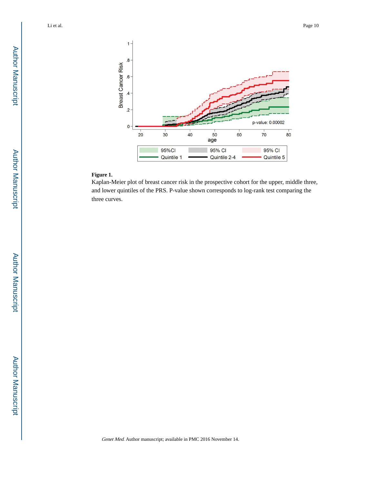

## **Figure 1.**

Kaplan-Meier plot of breast cancer risk in the prospective cohort for the upper, middle three, and lower quintiles of the PRS. P-value shown corresponds to log-rank test comparing the three curves.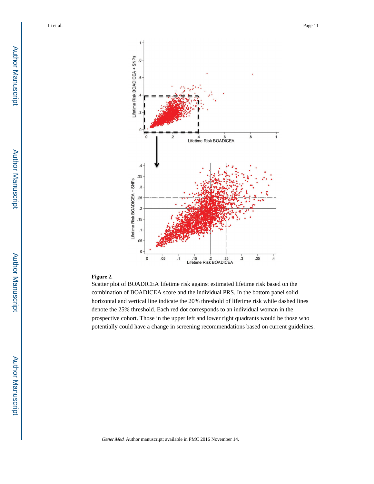

#### **Figure 2.**

Scatter plot of BOADICEA lifetime risk against estimated lifetime risk based on the combination of BOADICEA score and the individual PRS. In the bottom panel solid horizontal and vertical line indicate the 20% threshold of lifetime risk while dashed lines denote the 25% threshold. Each red dot corresponds to an individual woman in the prospective cohort. Those in the upper left and lower right quadrants would be those who potentially could have a change in screening recommendations based on current guidelines.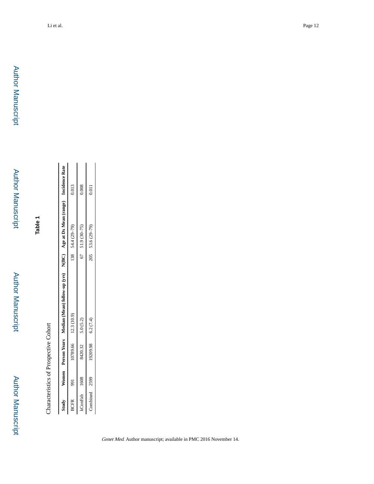Author Manuscript

Author Manuscript

| Study         |            |                      | Women Person Years Median (Mean) follow-up (yrs) N(BC) Age at Dx Mean (range) Incidence Rate |                     |       |
|---------------|------------|----------------------|----------------------------------------------------------------------------------------------|---------------------|-------|
| <b>BCFR</b>   | <b>P66</b> | 10789.66 12.3 (10.9) |                                                                                              | $138$ $54.4(29-79)$ | 0.013 |
| kConFab 1608  |            | 8420.32              | 5.0 (5.2)                                                                                    | $67$ $51.9(30-75)$  | 0.008 |
| Combined 2599 |            | $19209.98$ 6.2 (7.4) |                                                                                              | 205 53.6 (29-79)    | 0.011 |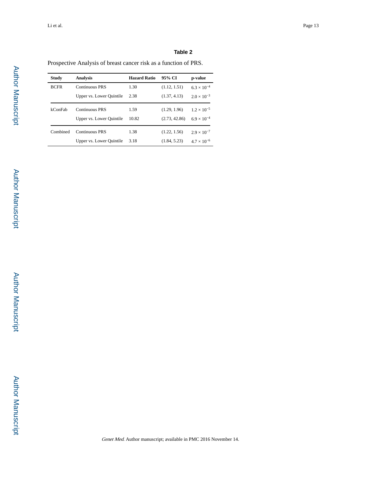## **Table 2**

Prospective Analysis of breast cancer risk as a function of PRS.

| Study       | Analysis                 | <b>Hazard Ratio</b> | 95% CI        | p-value              |
|-------------|--------------------------|---------------------|---------------|----------------------|
| <b>BCFR</b> | <b>Continuous PRS</b>    | 1.30                | (1.12, 1.51)  | $6.3 \times 10^{-4}$ |
|             | Upper vs. Lower Quintile | 2.38                | (1.37, 4.13)  | $2.0 \times 10^{-3}$ |
| kConFab     | Continuous PRS           | 1.59                | (1.29, 1.96)  | $1.2 \times 10^{-5}$ |
|             | Upper vs. Lower Quintile | 10.82               | (2.73, 42.86) | $6.9 \times 10^{-4}$ |
| Combined    | Continuous PRS           | 1.38                | (1.22, 1.56)  | $2.9 \times 10^{-7}$ |
|             | Upper vs. Lower Quintile | 3.18                | (1.84, 5.23)  | $4.7 \times 10^{-6}$ |